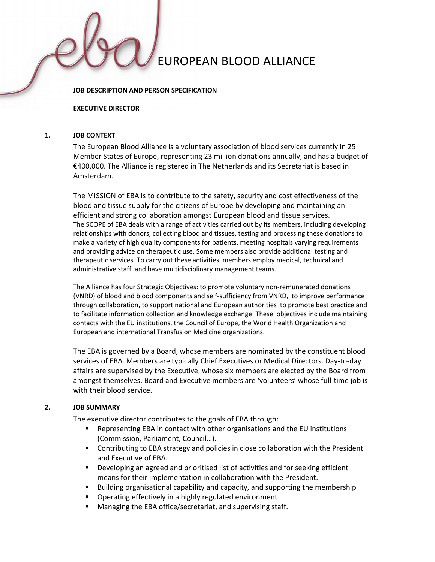#### JOB DESCRIPTION AND PERSON SPECIFICATION

#### EXECUTIVE DIRECTOR

#### 1. JOB CONTEXT

The European Blood Alliance is a voluntary association of blood services currently in 25 Member States of Europe, representing 23 million donations annually, and has a budget of €400,000. The Alliance is registered in The Netherlands and its Secretariat is based in Amsterdam.

The MISSION of EBA is to contribute to the safety, security and cost effectiveness of the blood and tissue supply for the citizens of Europe by developing and maintaining an efficient and strong collaboration amongst European blood and tissue services. The SCOPE of EBA deals with a range of activities carried out by its members, including developing relationships with donors, collecting blood and tissues, testing and processing these donations to make a variety of high quality components for patients, meeting hospitals varying requirements and providing advice on therapeutic use. Some members also provide additional testing and therapeutic services. To carry out these activities, members employ medical, technical and administrative staff, and have multidisciplinary management teams.

The Alliance has four Strategic Objectives: to promote voluntary non-remunerated donations (VNRD) of blood and blood components and self-sufficiency from VNRD, to improve performance through collaboration, to support national and European authorities to promote best practice and to facilitate information collection and knowledge exchange. These objectives include maintaining contacts with the EU institutions, the Council of Europe, the World Health Organization and European and international Transfusion Medicine organizations.

The EBA is governed by a Board, whose members are nominated by the constituent blood services of EBA. Members are typically Chief Executives or Medical Directors. Day-to-day affairs are supervised by the Executive, whose six members are elected by the Board from amongst themselves. Board and Executive members are 'volunteers' whose full-time job is with their blood service.

#### 2. JOB SUMMARY

The executive director contributes to the goals of EBA through:

- Representing EBA in contact with other organisations and the EU institutions (Commission, Parliament, Council…).
- Contributing to EBA strategy and policies in close collaboration with the President and Executive of EBA.
- Developing an agreed and prioritised list of activities and for seeking efficient means for their implementation in collaboration with the President.
- Building organisational capability and capacity, and supporting the membership
- Operating effectively in a highly regulated environment
- Managing the EBA office/secretariat, and supervising staff.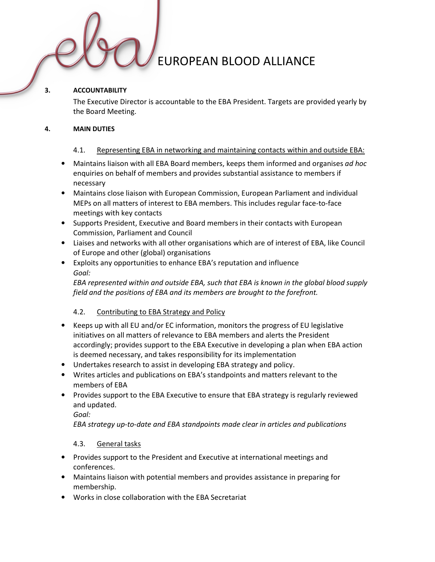### 3. ACCOUNTABILITY

The Executive Director is accountable to the EBA President. Targets are provided yearly by the Board Meeting.

### 4. MAIN DUTIES

## 4.1. Representing EBA in networking and maintaining contacts within and outside EBA:

- Maintains liaison with all EBA Board members, keeps them informed and organises ad hoc enquiries on behalf of members and provides substantial assistance to members if necessary
- Maintains close liaison with European Commission, European Parliament and individual MEPs on all matters of interest to EBA members. This includes regular face-to-face meetings with key contacts
- Supports President, Executive and Board members in their contacts with European Commission, Parliament and Council
- Liaises and networks with all other organisations which are of interest of EBA, like Council of Europe and other (global) organisations
- Exploits any opportunities to enhance EBA's reputation and influence Goal:

EBA represented within and outside EBA, such that EBA is known in the global blood supply field and the positions of EBA and its members are brought to the forefront.

## 4.2. Contributing to EBA Strategy and Policy

- Keeps up with all EU and/or EC information, monitors the progress of EU legislative initiatives on all matters of relevance to EBA members and alerts the President accordingly; provides support to the EBA Executive in developing a plan when EBA action is deemed necessary, and takes responsibility for its implementation
- Undertakes research to assist in developing EBA strategy and policy.
- Writes articles and publications on EBA's standpoints and matters relevant to the members of EBA
- Provides support to the EBA Executive to ensure that EBA strategy is regularly reviewed and updated.

Goal:

EBA strategy up-to-date and EBA standpoints made clear in articles and publications

## 4.3. General tasks

- Provides support to the President and Executive at international meetings and conferences.
- Maintains liaison with potential members and provides assistance in preparing for membership.
- Works in close collaboration with the EBA Secretariat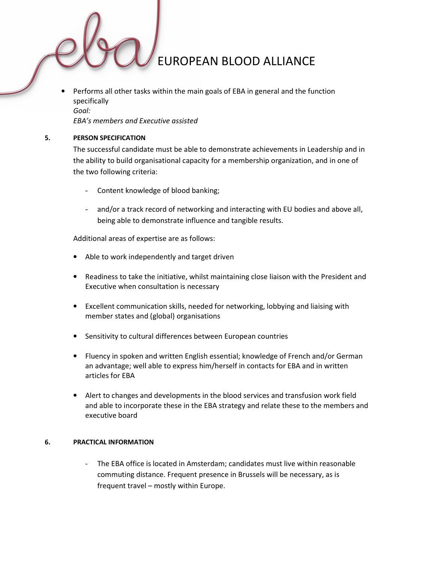• Performs all other tasks within the main goals of EBA in general and the function specifically Goal:

EBA's members and Executive assisted

#### 5. PERSON SPECIFICATION

The successful candidate must be able to demonstrate achievements in Leadership and in the ability to build organisational capacity for a membership organization, and in one of the two following criteria:

- Content knowledge of blood banking;
- and/or a track record of networking and interacting with EU bodies and above all, being able to demonstrate influence and tangible results.

Additional areas of expertise are as follows:

- Able to work independently and target driven
- Readiness to take the initiative, whilst maintaining close liaison with the President and Executive when consultation is necessary
- Excellent communication skills, needed for networking, lobbying and liaising with member states and (global) organisations
- Sensitivity to cultural differences between European countries
- Fluency in spoken and written English essential; knowledge of French and/or German an advantage; well able to express him/herself in contacts for EBA and in written articles for EBA
- Alert to changes and developments in the blood services and transfusion work field and able to incorporate these in the EBA strategy and relate these to the members and executive board

#### 6. PRACTICAL INFORMATION

The EBA office is located in Amsterdam; candidates must live within reasonable commuting distance. Frequent presence in Brussels will be necessary, as is frequent travel – mostly within Europe.